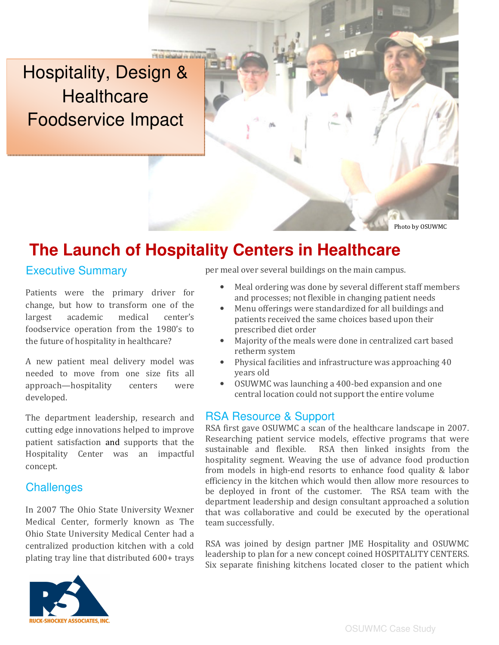Hospitality, Design & **Healthcare** Foodservice Impact

# **The Launch of Hospitality Centers in Healthcare**

**PERS singled in what** 

### Executive Summary

Patients were the primary driver for change, but how to transform one of the largest academic medical center's foodservice operation from the 1980's to the future of hospitality in healthcare?

A new patient meal delivery model was needed to move from one size fits all approach—hospitality centers were developed.

The department leadership, research and cutting edge innovations helped to improve patient satisfaction and supports that the Hospitality Center was an impactful concept.

## Challenges

In 2007 The Ohio State University Wexner Medical Center, formerly known as The Ohio State University Medical Center had a centralized production kitchen with a cold plating tray line that distributed 600+ trays



per meal over several buildings on the main campus.

Meal ordering was done by several different staff members and processes; not flexible in changing patient needs

Photo by OSUWMC

- Menu offerings were standardized for all buildings and patients received the same choices based upon their prescribed diet order
- Majority of the meals were done in centralized cart based retherm system
- Physical facilities and infrastructure was approaching 40 years old
- OSUWMC was launching a 400-bed expansion and one central location could not support the entire volume

#### RSA Resource & Support

RSA first gave OSUWMC a scan of the healthcare landscape in 2007. Researching patient service models, effective programs that were sustainable and flexible. RSA then linked insights from the hospitality segment. Weaving the use of advance food production from models in high-end resorts to enhance food quality & labor efficiency in the kitchen which would then allow more resources to be deployed in front of the customer. The RSA team with the department leadership and design consultant approached a solution that was collaborative and could be executed by the operational team successfully.

RSA was joined by design partner JME Hospitality and OSUWMC leadership to plan for a new concept coined HOSPITALITY CENTERS. Six separate finishing kitchens located closer to the patient which